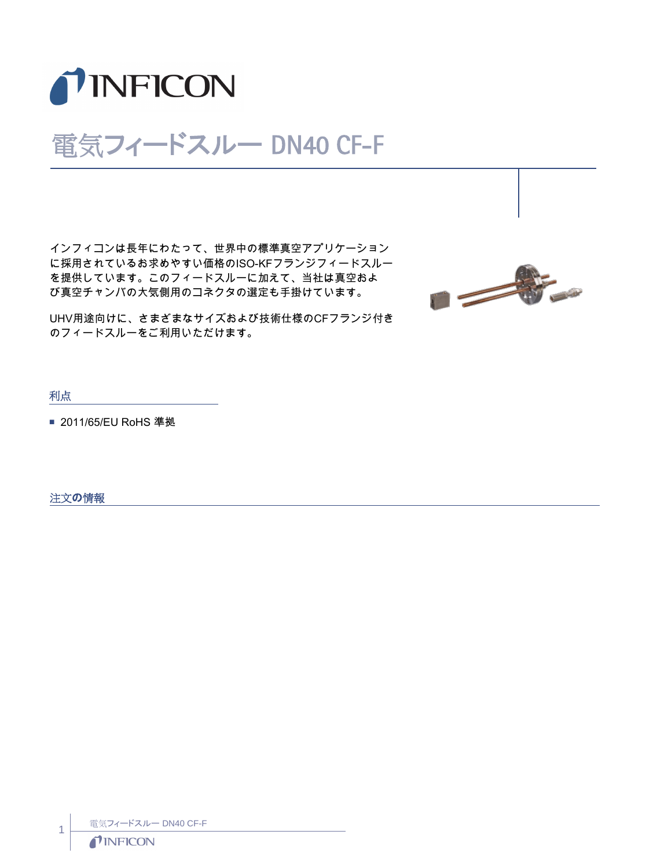

## 電気フィードスルー DN40 CF-F

インフィコンは長年にわたって、世界中の標準真空アプリケーション に採用されているお求めやすい価格のISO-KFフランジフィードスルー を提供しています。このフィードスルーに加えて、当社は真空およ び真空チャンバの大気側用のコネクタの選定も手掛けています。



UHV用途向けに、さまざまなサイズおよび技術仕様のCFフランジ付き のフィードスルーをご利用いただけます。

利点

■ 2011/65/EU RoHS 準拠

注文の情報

電気フィードスルー DN40 CF-F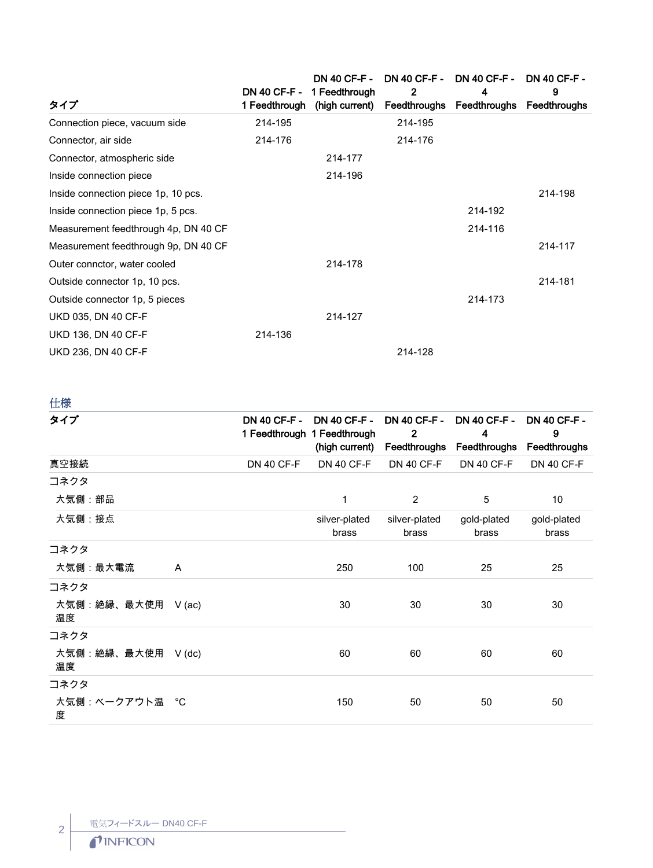|                                      |               | DN 40 CF-F - 1 Feedthrough | $\mathbf{2}$ | DN 40 CF-F - DN 40 CF-F - DN 40 CF-F - DN 40 CF-F -<br>4 | 9       |
|--------------------------------------|---------------|----------------------------|--------------|----------------------------------------------------------|---------|
| タイプ                                  | 1 Feedthrough | (high current)             |              | Feedthroughs Feedthroughs Feedthroughs                   |         |
| Connection piece, vacuum side        | 214-195       |                            | 214-195      |                                                          |         |
| Connector, air side                  | 214-176       |                            | 214-176      |                                                          |         |
| Connector, atmospheric side          |               | 214-177                    |              |                                                          |         |
| Inside connection piece              |               | 214-196                    |              |                                                          |         |
| Inside connection piece 1p, 10 pcs.  |               |                            |              |                                                          | 214-198 |
| Inside connection piece 1p, 5 pcs.   |               |                            |              | 214-192                                                  |         |
| Measurement feedthrough 4p, DN 40 CF |               |                            |              | 214-116                                                  |         |
| Measurement feedthrough 9p, DN 40 CF |               |                            |              |                                                          | 214-117 |
| Outer connctor, water cooled         |               | 214-178                    |              |                                                          |         |
| Outside connector 1p, 10 pcs.        |               |                            |              |                                                          | 214-181 |
| Outside connector 1p, 5 pieces       |               |                            |              | 214-173                                                  |         |
| <b>UKD 035, DN 40 CF-F</b>           |               | 214-127                    |              |                                                          |         |
| <b>UKD 136, DN 40 CF-F</b>           | 214-136       |                            |              |                                                          |         |
| UKD 236, DN 40 CF-F                  |               |                            | 214-128      |                                                          |         |
|                                      |               |                            |              |                                                          |         |

仕様

| タイプ                       |          | <b>DN 40 CF-F -</b> | <b>DN 40 CF-F -</b><br>1 Feedthrough 1 Feedthrough | <b>DN 40 CF-F -</b><br>$\overline{2}$<br>(high current) Feedthroughs Feedthroughs | <b>DN 40 CF-F -</b><br>4 | <b>DN 40 CF-F -</b><br>9<br>Feedthroughs |
|---------------------------|----------|---------------------|----------------------------------------------------|-----------------------------------------------------------------------------------|--------------------------|------------------------------------------|
| 真空接続                      |          | <b>DN 40 CF-F</b>   | <b>DN 40 CF-F</b>                                  | <b>DN 40 CF-F</b>                                                                 | <b>DN 40 CF-F</b>        | <b>DN 40 CF-F</b>                        |
| コネクタ                      |          |                     |                                                    |                                                                                   |                          |                                          |
| 大気側:部品                    |          |                     | 1                                                  | 2                                                                                 | 5                        | 10                                       |
| 大気側:接点                    |          |                     | silver-plated<br>brass                             | silver-plated<br>brass                                                            | gold-plated<br>brass     | gold-plated<br>brass                     |
| コネクタ                      |          |                     |                                                    |                                                                                   |                          |                                          |
| 大気側:最大電流                  | A        |                     | 250                                                | 100                                                                               | 25                       | 25                                       |
| コネクタ                      |          |                     |                                                    |                                                                                   |                          |                                          |
| 大気側:絶縁、最大使用<br>温度         | $V$ (ac) |                     | 30                                                 | 30                                                                                | 30                       | 30                                       |
| コネクタ                      |          |                     |                                                    |                                                                                   |                          |                                          |
| 大気側: 絶縁、最大使用 V (dc)<br>温度 |          |                     | 60                                                 | 60                                                                                | 60                       | 60                                       |
| コネクタ                      |          |                     |                                                    |                                                                                   |                          |                                          |
| 大気側:ベークアウト温  °C<br>度      |          |                     | 150                                                | 50                                                                                | 50                       | 50                                       |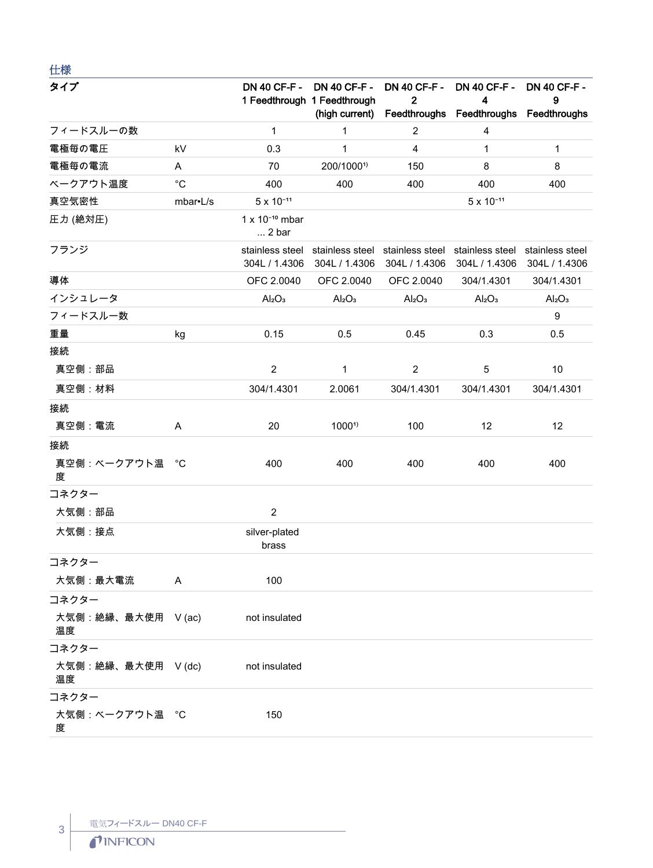| 仕様                       |             |                                           |                                                                            |                                     |                                                                    |                                |
|--------------------------|-------------|-------------------------------------------|----------------------------------------------------------------------------|-------------------------------------|--------------------------------------------------------------------|--------------------------------|
| タイプ                      |             |                                           | DN 40 CF-F - DN 40 CF-F -<br>1 Feedthrough 1 Feedthrough<br>(high current) | <b>DN 40 CF-F -</b><br>$\mathbf{2}$ | <b>DN 40 CF-F -</b><br>4<br>Feedthroughs Feedthroughs Feedthroughs | <b>DN 40 CF-F -</b><br>9       |
| フィードスルーの数                |             | $\mathbf{1}$                              | $\mathbf{1}$                                                               | $\overline{2}$                      | 4                                                                  |                                |
| 電極毎の電圧                   | kV          | 0.3                                       | $\mathbf{1}$                                                               | $\overline{4}$                      | $\mathbf{1}$                                                       | 1                              |
| 電極毎の電流                   | Α           | 70                                        | 200/10001)                                                                 | 150                                 | 8                                                                  | 8                              |
| ベークアウト温度                 | $^{\circ}C$ | 400                                       | 400                                                                        | 400                                 | 400                                                                | 400                            |
| 真空気密性                    | mbar•L/s    | $5 \times 10^{-11}$                       |                                                                            |                                     | $5 \times 10^{-11}$                                                |                                |
| 圧力 (絶対圧)                 |             | $1 \times 10^{-10}$ mbar<br>$\dots$ 2 bar |                                                                            |                                     |                                                                    |                                |
| フランジ                     |             | 304L / 1.4306                             | stainless steel stainless steel stainless steel<br>304L / 1.4306           | 304L / 1.4306                       | stainless steel stainless steel<br>304L / 1.4306                   | 304L / 1.4306                  |
| 導体                       |             | OFC 2.0040                                | OFC 2.0040                                                                 | OFC 2.0040                          | 304/1.4301                                                         | 304/1.4301                     |
| インシュレータ                  |             | Al <sub>2</sub> O <sub>3</sub>            | Al <sub>2</sub> O <sub>3</sub>                                             | Al <sub>2</sub> O <sub>3</sub>      | Al <sub>2</sub> O <sub>3</sub>                                     | Al <sub>2</sub> O <sub>3</sub> |
| フィードスルー数                 |             |                                           |                                                                            |                                     |                                                                    | $\boldsymbol{9}$               |
| 重量                       | kg          | 0.15                                      | 0.5                                                                        | 0.45                                | 0.3                                                                | 0.5                            |
| 接続                       |             |                                           |                                                                            |                                     |                                                                    |                                |
| 真空側:部品                   |             | $\overline{2}$                            | $\mathbf{1}$                                                               | $\overline{2}$                      | 5                                                                  | 10                             |
| 真空側: 材料                  |             | 304/1.4301                                | 2.0061                                                                     | 304/1.4301                          | 304/1.4301                                                         | 304/1.4301                     |
| 接続                       |             |                                           |                                                                            |                                     |                                                                    |                                |
| 真空側: 電流                  | Α           | 20                                        | 1000 <sup>1</sup>                                                          | 100                                 | 12                                                                 | 12                             |
| 接続                       |             |                                           |                                                                            |                                     |                                                                    |                                |
| 真空側:ベークアウト温<br>度         | °C          | 400                                       | 400                                                                        | 400                                 | 400                                                                | 400                            |
| コネクター                    |             |                                           |                                                                            |                                     |                                                                    |                                |
| 大気側:部品                   |             | $\overline{2}$                            |                                                                            |                                     |                                                                    |                                |
| 大気側:接点                   |             | silver-plated<br>brass                    |                                                                            |                                     |                                                                    |                                |
| コネクター                    |             |                                           |                                                                            |                                     |                                                                    |                                |
| 大気側:最大電流                 | A           | 100                                       |                                                                            |                                     |                                                                    |                                |
| コネクター                    |             |                                           |                                                                            |                                     |                                                                    |                                |
| 大気側:絶縁、最大使用 V (ac)<br>温度 |             | not insulated                             |                                                                            |                                     |                                                                    |                                |
| コネクター                    |             |                                           |                                                                            |                                     |                                                                    |                                |
| 大気側:絶縁、最大使用 V(dc)<br>温度  |             | not insulated                             |                                                                            |                                     |                                                                    |                                |
| コネクター                    |             |                                           |                                                                            |                                     |                                                                    |                                |
| 大気側:ベークアウト温 °C<br>度      |             | 150                                       |                                                                            |                                     |                                                                    |                                |